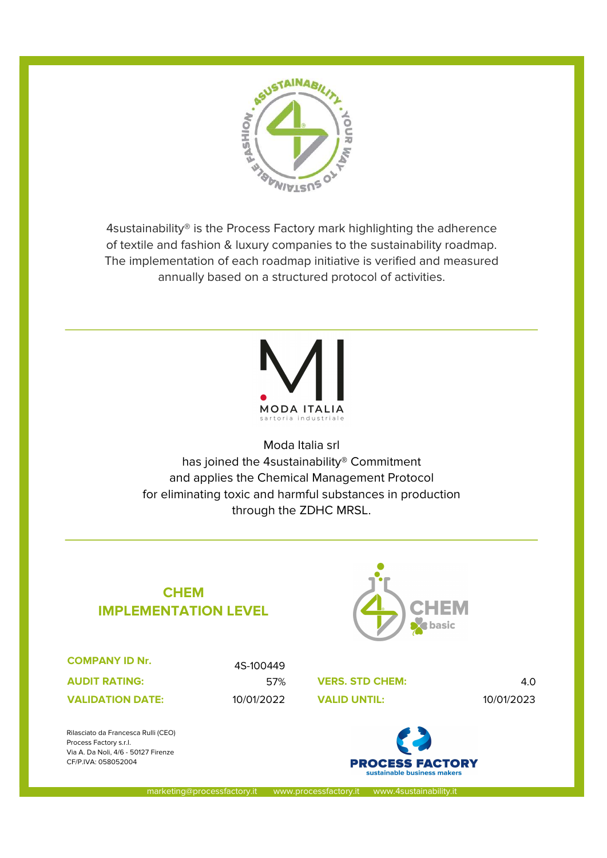

4sustainability® is the Process Factory mark highlighting the adherence of textile and fashion & luxury companies to the sustainability roadmap. The implementation of each roadmap initiative is verified and measured annually based on a structured protocol of activities.



Moda Italia srl has joined the 4sustainability® Commitment and applies the Chemical Management Protocol for eliminating toxic and harmful substances in production through the ZDHC MRSL.

## CHEM IMPLEMENTATION LEVEL



| <b>COMPANY ID Nr.</b>   |
|-------------------------|
| <b>AUDIT RATING:</b>    |
| <b>VALIDATION DATE:</b> |

Rilasciato da Francesca Rulli (CEO)

Via A. Da Noli, 4/6 - 50127 Firenze CF/P.IVA: 058052004

Process Factory s.r.l.

4S-100449

57% **VERS. STD CHEM:** 4.0 10/01/2022 10/01/2023



marketing@processfactory.it www.processfactory.it www.4sustainability.it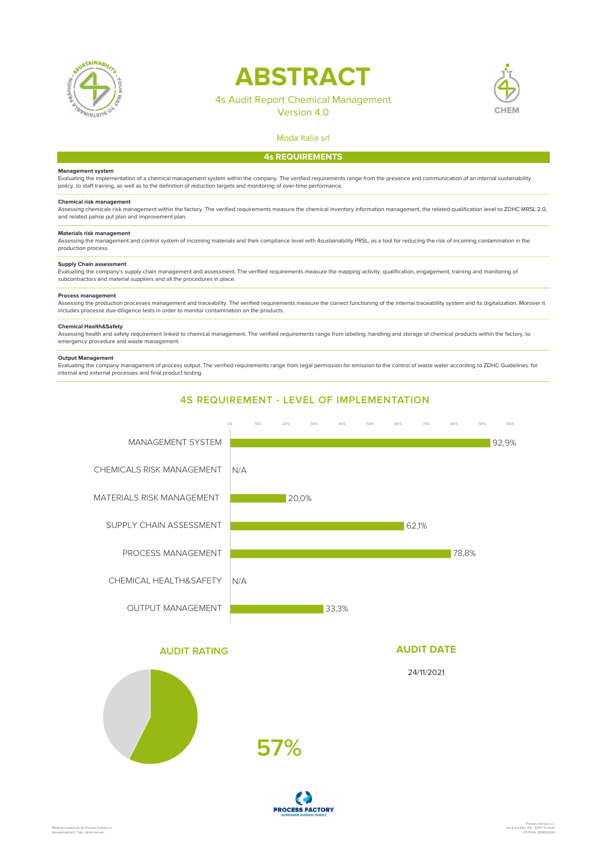

# **ABSTRACT**

## 4s Audit Report Chemical Management





## Moda Italia srl 4s REQUIREMENTS

#### Management system

Evaluating the implementation of a chemical management system within the company. The verified requirements range from the presence and communication of an internal sustainability policy, to staff training, as well as to the definition of reduction targets and monitoring of over-time performance.

#### Chemical risk management

Assessing chemicals risk management within the factory. The verified requirements measure the chemical inventory information management, the related qualification level to ZDHC MRSL 2.0, and related pahse put plan and improvement plan.

#### Materials risk management

Assessing the management and control system of incoming materials and their compliance level with 4sustainability PRSL, as a tool for reducing the risk of incoming contamination in the production process.

#### Supply Chain assessment

Evaluating the company's supply chain management and assessment. The verified requirements measure the mapping activity, qualification, engagement, training and monitoring of subcontractors and material suppliers and all the procedures in place.

#### Process management

Assessing the production processes management and traceability. The verified requirements measure the correct functioning of the internal traceability system and its digitalization. Morover it includes processe due-diligence tests in order to monitor contamination on the products.

#### Chemical Health&Safety

Assessing health and safety requirement linked to chemical management. The verified requirements range from labeling, handling and storage of chemical products within the factory, to emergency procedure and waste management.

#### Output Management

Evaluating the company managament of process output. The verified requirements range from legal permission for emission to the control of waste water according to ZDHC Guidelines. for internal and external processes and final product testing.



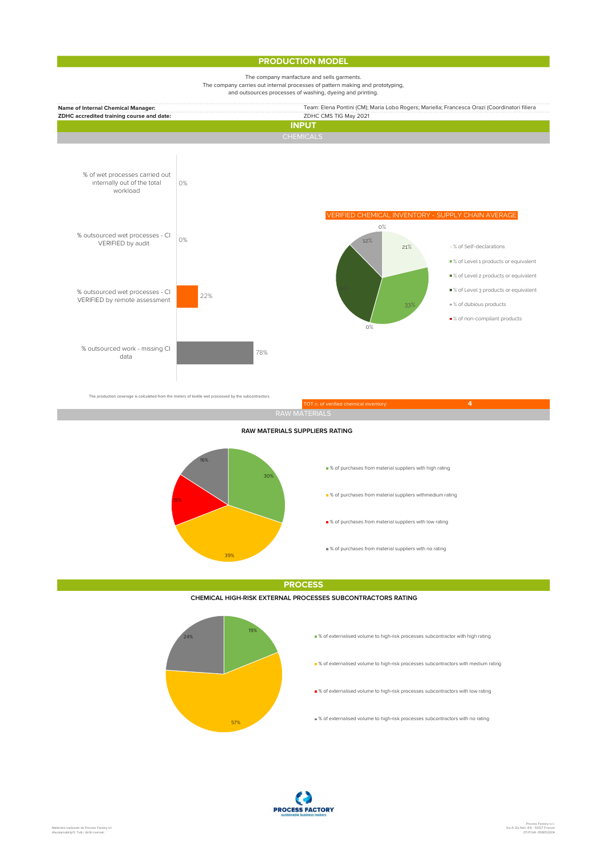### **PRODUCTION MODEL**

#### The company manfacture and sells garments. The company carries out internal processes of pattern making and prototyping, and outsources processes of washing, dyeing and printing.



RAW MATERIAL

#### RAW MATERIALS SUPPLIERS RATING



**PROCESS** 

#### CHEMICAL HIGH-RISK EXTERNAL PROCESSES SUBCONTRACTORS RATING